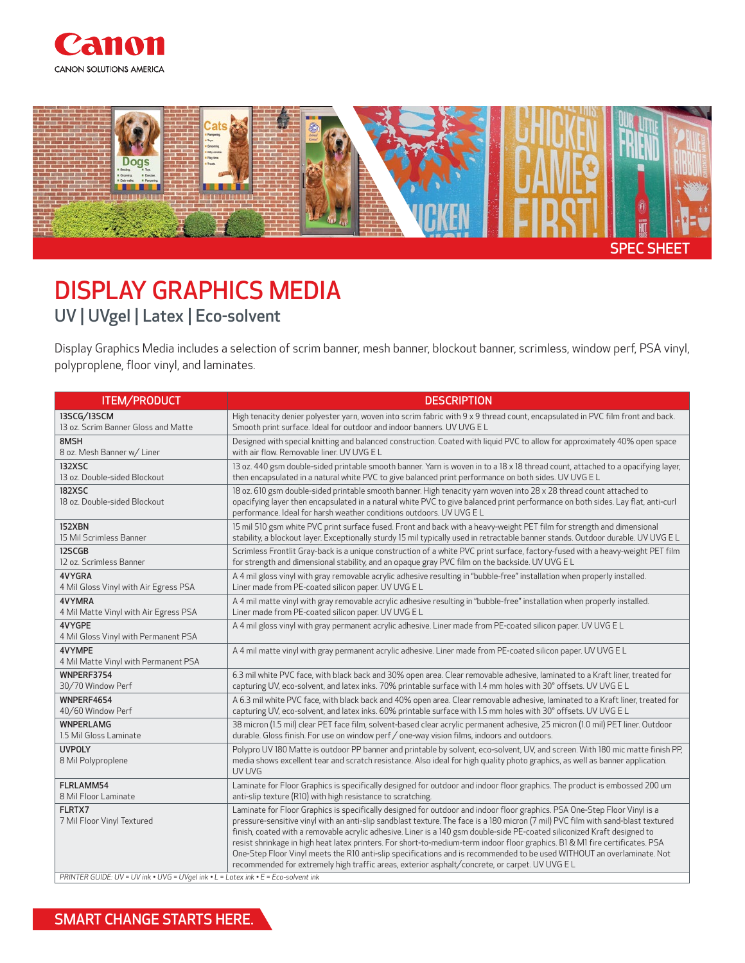



## DISPLAY GRAPHICS MEDIA UV | UVgel | Latex | Eco-solvent

Display Graphics Media includes a selection of scrim banner, mesh banner, blockout banner, scrimless, window perf, PSA vinyl, polyproplene, floor vinyl, and laminates.

| <b>ITEM/PRODUCT</b>                                                                                                        | <b>DESCRIPTION</b>                                                                                                                                                                                                                                                                                                                                                                                                                                                                                                                                                                                                                                                                                                                                    |
|----------------------------------------------------------------------------------------------------------------------------|-------------------------------------------------------------------------------------------------------------------------------------------------------------------------------------------------------------------------------------------------------------------------------------------------------------------------------------------------------------------------------------------------------------------------------------------------------------------------------------------------------------------------------------------------------------------------------------------------------------------------------------------------------------------------------------------------------------------------------------------------------|
| 13SCG/13SCM                                                                                                                | High tenacity denier polyester yarn, woven into scrim fabric with 9 x 9 thread count, encapsulated in PVC film front and back.                                                                                                                                                                                                                                                                                                                                                                                                                                                                                                                                                                                                                        |
| 13 oz. Scrim Banner Gloss and Matte                                                                                        | Smooth print surface. Ideal for outdoor and indoor banners. UV UVG EL                                                                                                                                                                                                                                                                                                                                                                                                                                                                                                                                                                                                                                                                                 |
| 8MSH                                                                                                                       | Designed with special knitting and balanced construction. Coated with liquid PVC to allow for approximately 40% open space                                                                                                                                                                                                                                                                                                                                                                                                                                                                                                                                                                                                                            |
| 8 oz. Mesh Banner w/ Liner                                                                                                 | with air flow. Removable liner. UV UVG E L                                                                                                                                                                                                                                                                                                                                                                                                                                                                                                                                                                                                                                                                                                            |
| 132XSC                                                                                                                     | 13 oz. 440 gsm double-sided printable smooth banner. Yarn is woven in to a 18 x 18 thread count, attached to a opacifying layer,                                                                                                                                                                                                                                                                                                                                                                                                                                                                                                                                                                                                                      |
| 13 oz. Double-sided Blockout                                                                                               | then encapsulated in a natural white PVC to give balanced print performance on both sides. UV UVG E L                                                                                                                                                                                                                                                                                                                                                                                                                                                                                                                                                                                                                                                 |
| <b>182XSC</b><br>18 oz. Double-sided Blockout                                                                              | 18 oz. 610 gsm double-sided printable smooth banner. High tenacity yarn woven into 28 x 28 thread count attached to<br>opacifying layer then encapsulated in a natural white PVC to give balanced print performance on both sides. Lay flat, anti-curl<br>performance. Ideal for harsh weather conditions outdoors. UV UVG E L                                                                                                                                                                                                                                                                                                                                                                                                                        |
| 152XBN                                                                                                                     | 15 mil 510 gsm white PVC print surface fused. Front and back with a heavy-weight PET film for strength and dimensional                                                                                                                                                                                                                                                                                                                                                                                                                                                                                                                                                                                                                                |
| 15 Mil Scrimless Banner                                                                                                    | stability, a blockout layer. Exceptionally sturdy 15 mil typically used in retractable banner stands. Outdoor durable. UV UVG E L                                                                                                                                                                                                                                                                                                                                                                                                                                                                                                                                                                                                                     |
| 12SCGB                                                                                                                     | Scrimless Frontlit Gray-back is a unique construction of a white PVC print surface, factory-fused with a heavy-weight PET film                                                                                                                                                                                                                                                                                                                                                                                                                                                                                                                                                                                                                        |
| 12 oz. Scrimless Banner                                                                                                    | for strength and dimensional stability, and an opaque gray PVC film on the backside. UV UVG E L                                                                                                                                                                                                                                                                                                                                                                                                                                                                                                                                                                                                                                                       |
| 4VYGRA                                                                                                                     | A 4 mil gloss vinyl with gray removable acrylic adhesive resulting in "bubble-free" installation when properly installed.                                                                                                                                                                                                                                                                                                                                                                                                                                                                                                                                                                                                                             |
| 4 Mil Gloss Vinyl with Air Egress PSA                                                                                      | Liner made from PE-coated silicon paper. UV UVG E L                                                                                                                                                                                                                                                                                                                                                                                                                                                                                                                                                                                                                                                                                                   |
| 4VYMRA                                                                                                                     | A 4 mil matte vinyl with gray removable acrylic adhesive resulting in "bubble-free" installation when properly installed.                                                                                                                                                                                                                                                                                                                                                                                                                                                                                                                                                                                                                             |
| 4 Mil Matte Vinyl with Air Egress PSA                                                                                      | Liner made from PE-coated silicon paper. UV UVG E L                                                                                                                                                                                                                                                                                                                                                                                                                                                                                                                                                                                                                                                                                                   |
| 4VYGPE<br>4 Mil Gloss Vinyl with Permanent PSA                                                                             | A 4 mil gloss vinyl with gray permanent acrylic adhesive. Liner made from PE-coated silicon paper. UV UVG E L                                                                                                                                                                                                                                                                                                                                                                                                                                                                                                                                                                                                                                         |
| 4VYMPE<br>4 Mil Matte Vinyl with Permanent PSA                                                                             | A 4 mil matte vinyl with gray permanent acrylic adhesive. Liner made from PE-coated silicon paper. UV UVG E L                                                                                                                                                                                                                                                                                                                                                                                                                                                                                                                                                                                                                                         |
| WNPERF3754                                                                                                                 | 6.3 mil white PVC face, with black back and 30% open area. Clear removable adhesive, laminated to a Kraft liner, treated for                                                                                                                                                                                                                                                                                                                                                                                                                                                                                                                                                                                                                          |
| 30/70 Window Perf                                                                                                          | capturing UV, eco-solvent, and latex inks. 70% printable surface with 1.4 mm holes with 30° offsets. UV UVG E L                                                                                                                                                                                                                                                                                                                                                                                                                                                                                                                                                                                                                                       |
| WNPERF4654                                                                                                                 | A 6.3 mil white PVC face, with black back and 40% open area. Clear removable adhesive, laminated to a Kraft liner, treated for                                                                                                                                                                                                                                                                                                                                                                                                                                                                                                                                                                                                                        |
| 40/60 Window Perf                                                                                                          | capturing UV, eco-solvent, and latex inks. 60% printable surface with 1.5 mm holes with 30° offsets. UV UVG E L                                                                                                                                                                                                                                                                                                                                                                                                                                                                                                                                                                                                                                       |
| <b>WNPERLAMG</b>                                                                                                           | 38 micron (1.5 mil) clear PET face film, solvent-based clear acrylic permanent adhesive, 25 micron (1.0 mil) PET liner. Outdoor                                                                                                                                                                                                                                                                                                                                                                                                                                                                                                                                                                                                                       |
| 1.5 Mil Gloss Laminate                                                                                                     | durable. Gloss finish. For use on window perf / one-way vision films, indoors and outdoors.                                                                                                                                                                                                                                                                                                                                                                                                                                                                                                                                                                                                                                                           |
| <b>UVPOLY</b><br>8 Mil Polyproplene                                                                                        | Polypro UV 180 Matte is outdoor PP banner and printable by solvent, eco-solvent, UV, and screen. With 180 mic matte finish PP,<br>media shows excellent tear and scratch resistance. Also ideal for high quality photo graphics, as well as banner application.<br>UV UVG                                                                                                                                                                                                                                                                                                                                                                                                                                                                             |
| FLRLAMM54                                                                                                                  | Laminate for Floor Graphics is specifically designed for outdoor and indoor floor graphics. The product is embossed 200 um                                                                                                                                                                                                                                                                                                                                                                                                                                                                                                                                                                                                                            |
| 8 Mil Floor Laminate                                                                                                       | anti-slip texture (R10) with high resistance to scratching.                                                                                                                                                                                                                                                                                                                                                                                                                                                                                                                                                                                                                                                                                           |
| FLRTX7<br>7 Mil Floor Vinyl Textured<br>PRINTER GUIDE: UV = UV ink • UVG = UVgel ink • L = Latex ink • E = Eco-solvent ink | Laminate for Floor Graphics is specifically designed for outdoor and indoor floor graphics. PSA One-Step Floor Vinyl is a<br>pressure-sensitive vinyl with an anti-slip sandblast texture. The face is a 180 micron (7 mil) PVC film with sand-blast textured<br>finish, coated with a removable acrylic adhesive. Liner is a 140 gsm double-side PE-coated siliconized Kraft designed to<br>resist shrinkage in high heat latex printers. For short-to-medium-term indoor floor graphics. BI & MI fire certificates. PSA<br>One-Step Floor Vinyl meets the R10 anti-slip specifications and is recommended to be used WITHOUT an overlaminate. Not<br>recommended for extremely high traffic areas, exterior asphalt/concrete, or carpet. UV UVG E L |